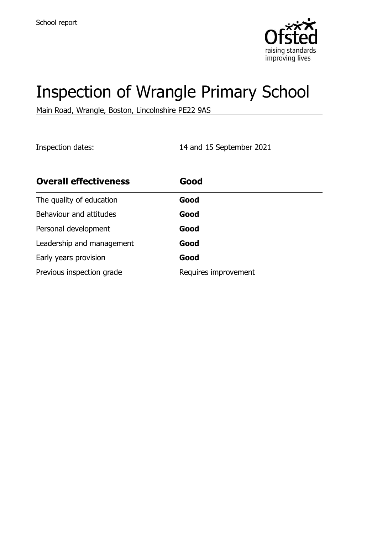

# Inspection of Wrangle Primary School

Main Road, Wrangle, Boston, Lincolnshire PE22 9AS

Inspection dates: 14 and 15 September 2021

| <b>Overall effectiveness</b> | Good                 |
|------------------------------|----------------------|
| The quality of education     | Good                 |
| Behaviour and attitudes      | Good                 |
| Personal development         | Good                 |
| Leadership and management    | Good                 |
| Early years provision        | Good                 |
| Previous inspection grade    | Requires improvement |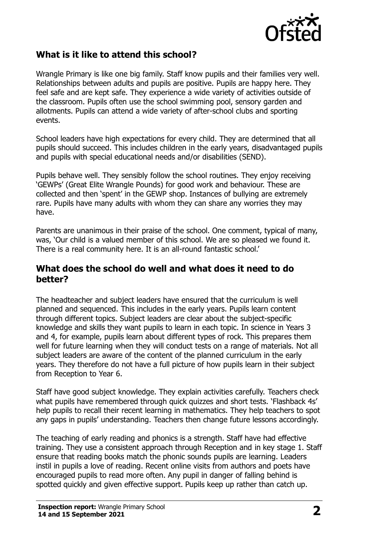

## **What is it like to attend this school?**

Wrangle Primary is like one big family. Staff know pupils and their families very well. Relationships between adults and pupils are positive. Pupils are happy here. They feel safe and are kept safe. They experience a wide variety of activities outside of the classroom. Pupils often use the school swimming pool, sensory garden and allotments. Pupils can attend a wide variety of after-school clubs and sporting events.

School leaders have high expectations for every child. They are determined that all pupils should succeed. This includes children in the early years, disadvantaged pupils and pupils with special educational needs and/or disabilities (SEND).

Pupils behave well. They sensibly follow the school routines. They enjoy receiving 'GEWPs' (Great Elite Wrangle Pounds) for good work and behaviour. These are collected and then 'spent' in the GEWP shop. Instances of bullying are extremely rare. Pupils have many adults with whom they can share any worries they may have.

Parents are unanimous in their praise of the school. One comment, typical of many, was, 'Our child is a valued member of this school. We are so pleased we found it. There is a real community here. It is an all-round fantastic school.'

#### **What does the school do well and what does it need to do better?**

The headteacher and subject leaders have ensured that the curriculum is well planned and sequenced. This includes in the early years. Pupils learn content through different topics. Subject leaders are clear about the subject-specific knowledge and skills they want pupils to learn in each topic. In science in Years 3 and 4, for example, pupils learn about different types of rock. This prepares them well for future learning when they will conduct tests on a range of materials. Not all subject leaders are aware of the content of the planned curriculum in the early years. They therefore do not have a full picture of how pupils learn in their subject from Reception to Year 6.

Staff have good subject knowledge. They explain activities carefully. Teachers check what pupils have remembered through quick quizzes and short tests. 'Flashback 4s' help pupils to recall their recent learning in mathematics. They help teachers to spot any gaps in pupils' understanding. Teachers then change future lessons accordingly.

The teaching of early reading and phonics is a strength. Staff have had effective training. They use a consistent approach through Reception and in key stage 1. Staff ensure that reading books match the phonic sounds pupils are learning. Leaders instil in pupils a love of reading. Recent online visits from authors and poets have encouraged pupils to read more often. Any pupil in danger of falling behind is spotted quickly and given effective support. Pupils keep up rather than catch up.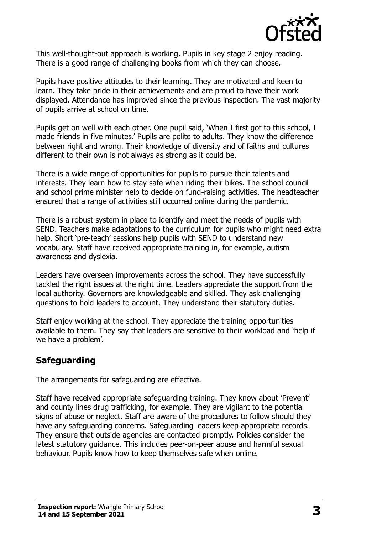

This well-thought-out approach is working. Pupils in key stage 2 enjoy reading. There is a good range of challenging books from which they can choose.

Pupils have positive attitudes to their learning. They are motivated and keen to learn. They take pride in their achievements and are proud to have their work displayed. Attendance has improved since the previous inspection. The vast majority of pupils arrive at school on time.

Pupils get on well with each other. One pupil said, 'When I first got to this school, I made friends in five minutes.' Pupils are polite to adults. They know the difference between right and wrong. Their knowledge of diversity and of faiths and cultures different to their own is not always as strong as it could be.

There is a wide range of opportunities for pupils to pursue their talents and interests. They learn how to stay safe when riding their bikes. The school council and school prime minister help to decide on fund-raising activities. The headteacher ensured that a range of activities still occurred online during the pandemic.

There is a robust system in place to identify and meet the needs of pupils with SEND. Teachers make adaptations to the curriculum for pupils who might need extra help. Short 'pre-teach' sessions help pupils with SEND to understand new vocabulary. Staff have received appropriate training in, for example, autism awareness and dyslexia.

Leaders have overseen improvements across the school. They have successfully tackled the right issues at the right time. Leaders appreciate the support from the local authority. Governors are knowledgeable and skilled. They ask challenging questions to hold leaders to account. They understand their statutory duties.

Staff enjoy working at the school. They appreciate the training opportunities available to them. They say that leaders are sensitive to their workload and 'help if we have a problem'.

# **Safeguarding**

The arrangements for safeguarding are effective.

Staff have received appropriate safeguarding training. They know about 'Prevent' and county lines drug trafficking, for example. They are vigilant to the potential signs of abuse or neglect. Staff are aware of the procedures to follow should they have any safeguarding concerns. Safeguarding leaders keep appropriate records. They ensure that outside agencies are contacted promptly. Policies consider the latest statutory guidance. This includes peer-on-peer abuse and harmful sexual behaviour. Pupils know how to keep themselves safe when online.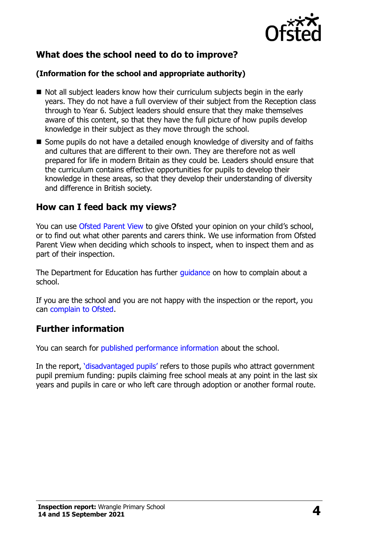

## **What does the school need to do to improve?**

#### **(Information for the school and appropriate authority)**

- Not all subject leaders know how their curriculum subjects begin in the early years. They do not have a full overview of their subject from the Reception class through to Year 6. Subject leaders should ensure that they make themselves aware of this content, so that they have the full picture of how pupils develop knowledge in their subject as they move through the school.
- Some pupils do not have a detailed enough knowledge of diversity and of faiths and cultures that are different to their own. They are therefore not as well prepared for life in modern Britain as they could be. Leaders should ensure that the curriculum contains effective opportunities for pupils to develop their knowledge in these areas, so that they develop their understanding of diversity and difference in British society.

### **How can I feed back my views?**

You can use [Ofsted Parent View](http://parentview.ofsted.gov.uk/) to give Ofsted your opinion on your child's school, or to find out what other parents and carers think. We use information from Ofsted Parent View when deciding which schools to inspect, when to inspect them and as part of their inspection.

The Department for Education has further quidance on how to complain about a school.

If you are the school and you are not happy with the inspection or the report, you can [complain to Ofsted.](http://www.gov.uk/complain-ofsted-report)

#### **Further information**

You can search for [published performance information](http://www.compare-school-performance.service.gov.uk/) about the school.

In the report, '[disadvantaged pupils](http://www.gov.uk/guidance/pupil-premium-information-for-schools-and-alternative-provision-settings)' refers to those pupils who attract government pupil premium funding: pupils claiming free school meals at any point in the last six years and pupils in care or who left care through adoption or another formal route.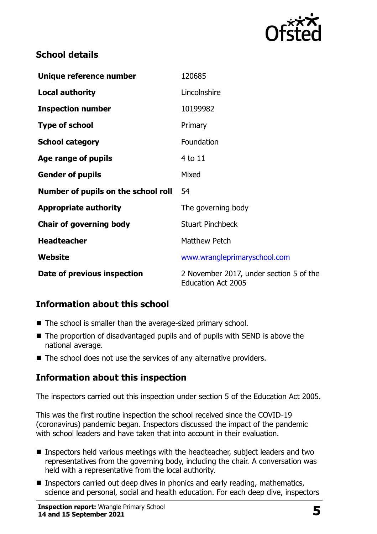

## **School details**

| Unique reference number             | 120685                                                               |
|-------------------------------------|----------------------------------------------------------------------|
| <b>Local authority</b>              | Lincolnshire                                                         |
| <b>Inspection number</b>            | 10199982                                                             |
| <b>Type of school</b>               | Primary                                                              |
| <b>School category</b>              | Foundation                                                           |
| Age range of pupils                 | 4 to 11                                                              |
| <b>Gender of pupils</b>             | Mixed                                                                |
| Number of pupils on the school roll | 54                                                                   |
| <b>Appropriate authority</b>        | The governing body                                                   |
| <b>Chair of governing body</b>      | <b>Stuart Pinchbeck</b>                                              |
| <b>Headteacher</b>                  | <b>Matthew Petch</b>                                                 |
| Website                             | www.wrangleprimaryschool.com                                         |
| Date of previous inspection         | 2 November 2017, under section 5 of the<br><b>Education Act 2005</b> |

## **Information about this school**

- The school is smaller than the average-sized primary school.
- The proportion of disadvantaged pupils and of pupils with SEND is above the national average.
- The school does not use the services of any alternative providers.

# **Information about this inspection**

The inspectors carried out this inspection under section 5 of the Education Act 2005.

This was the first routine inspection the school received since the COVID-19 (coronavirus) pandemic began. Inspectors discussed the impact of the pandemic with school leaders and have taken that into account in their evaluation.

- Inspectors held various meetings with the headteacher, subject leaders and two representatives from the governing body, including the chair. A conversation was held with a representative from the local authority.
- Inspectors carried out deep dives in phonics and early reading, mathematics, science and personal, social and health education. For each deep dive, inspectors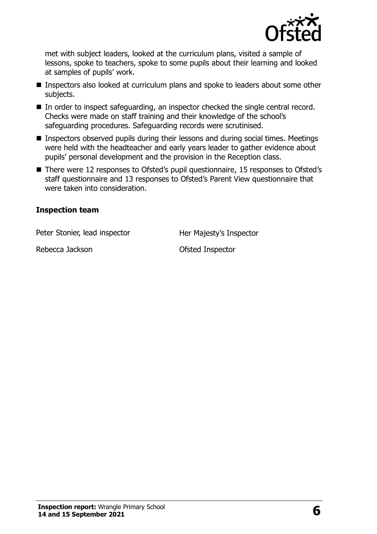

met with subject leaders, looked at the curriculum plans, visited a sample of lessons, spoke to teachers, spoke to some pupils about their learning and looked at samples of pupils' work.

- Inspectors also looked at curriculum plans and spoke to leaders about some other subjects.
- In order to inspect safeguarding, an inspector checked the single central record. Checks were made on staff training and their knowledge of the school's safeguarding procedures. Safeguarding records were scrutinised.
- Inspectors observed pupils during their lessons and during social times. Meetings were held with the headteacher and early years leader to gather evidence about pupils' personal development and the provision in the Reception class.
- There were 12 responses to Ofsted's pupil questionnaire, 15 responses to Ofsted's staff questionnaire and 13 responses to Ofsted's Parent View questionnaire that were taken into consideration.

#### **Inspection team**

Peter Stonier, lead inspector Her Majesty's Inspector

Rebecca Jackson **Calculation** Ofsted Inspector